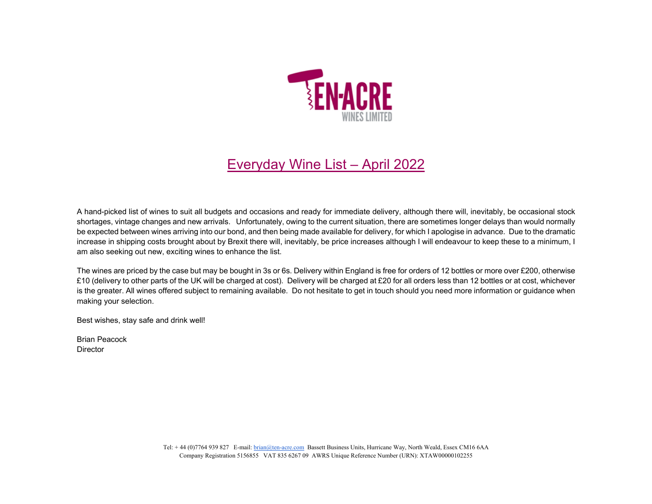

## Everyday Wine List – April 2022

A hand-picked list of wines to suit all budgets and occasions and ready for immediate delivery, although there will, inevitably, be occasional stock shortages, vintage changes and new arrivals. Unfortunately, owing to the current situation, there are sometimes longer delays than would normally be expected between wines arriving into our bond, and then being made available for delivery, for which I apologise in advance. Due to the dramatic increase in shipping costs brought about by Brexit there will, inevitably, be price increases although I will endeavour to keep these to a minimum, I am also seeking out new, exciting wines to enhance the list.

The wines are priced by the case but may be bought in 3s or 6s. Delivery within England is free for orders of 12 bottles or more over £200, otherwise £10 (delivery to other parts of the UK will be charged at cost). Delivery will be charged at £20 for all orders less than 12 bottles or at cost, whichever is the greater. All wines offered subject to remaining available. Do not hesitate to get in touch should you need more information or guidance when making your selection.

Best wishes, stay safe and drink well!

Brian Peacock **Director**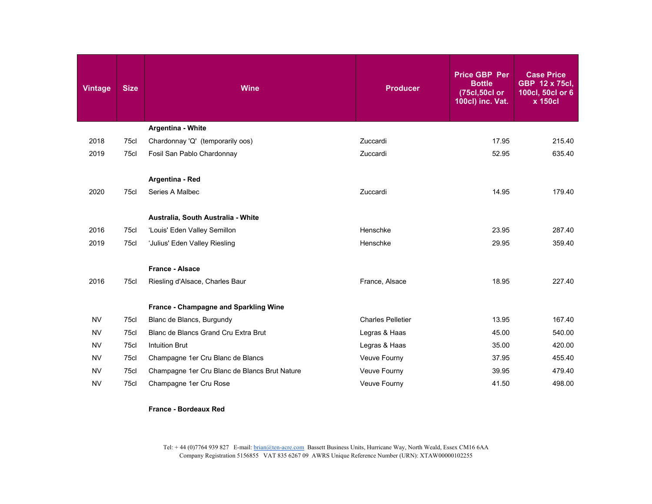| <b>Vintage</b> | <b>Size</b> | <b>Wine</b>                                               | <b>Producer</b>          | <b>Price GBP Per</b><br><b>Bottle</b><br>(75cl,50cl or<br>100cl) inc. Vat. | <b>Case Price</b><br>GBP 12 x 75cl,<br>100cl, 50cl or 6<br>x 150cl |
|----------------|-------------|-----------------------------------------------------------|--------------------------|----------------------------------------------------------------------------|--------------------------------------------------------------------|
|                |             | Argentina - White                                         |                          |                                                                            |                                                                    |
| 2018           | 75cl        | Chardonnay 'Q' (temporarily oos)                          | Zuccardi                 | 17.95                                                                      | 215.40                                                             |
| 2019           | 75cl        | Fosil San Pablo Chardonnay                                | Zuccardi                 | 52.95                                                                      | 635.40                                                             |
| 2020           | 75cl        | Argentina - Red<br>Series A Malbec                        | Zuccardi                 | 14.95                                                                      | 179.40                                                             |
|                |             | Australia, South Australia - White                        |                          |                                                                            |                                                                    |
| 2016           | 75cl        | 'Louis' Eden Valley Semillon                              | Henschke                 | 23.95                                                                      | 287.40                                                             |
| 2019           | 75cl        | 'Julius' Eden Valley Riesling                             | Henschke                 | 29.95                                                                      | 359.40                                                             |
| 2016           | 75cl        | <b>France - Alsace</b><br>Riesling d'Alsace, Charles Baur | France, Alsace           | 18.95                                                                      | 227.40                                                             |
|                |             | France - Champagne and Sparkling Wine                     |                          |                                                                            |                                                                    |
| <b>NV</b>      | 75cl        | Blanc de Blancs, Burgundy                                 | <b>Charles Pelletier</b> | 13.95                                                                      | 167.40                                                             |
| <b>NV</b>      | 75cl        | Blanc de Blancs Grand Cru Extra Brut                      | Legras & Haas            | 45.00                                                                      | 540.00                                                             |
| <b>NV</b>      | 75cl        | <b>Intuition Brut</b>                                     | Legras & Haas            | 35.00                                                                      | 420.00                                                             |
| <b>NV</b>      | 75cl        | Champagne 1er Cru Blanc de Blancs                         | Veuve Fourny             | 37.95                                                                      | 455.40                                                             |
| <b>NV</b>      | 75cl        | Champagne 1er Cru Blanc de Blancs Brut Nature             | Veuve Fourny             | 39.95                                                                      | 479.40                                                             |
| <b>NV</b>      | 75cl        | Champagne 1er Cru Rose                                    | Veuve Fourny             | 41.50                                                                      | 498.00                                                             |
|                |             |                                                           |                          |                                                                            |                                                                    |

## **France - Bordeaux Red**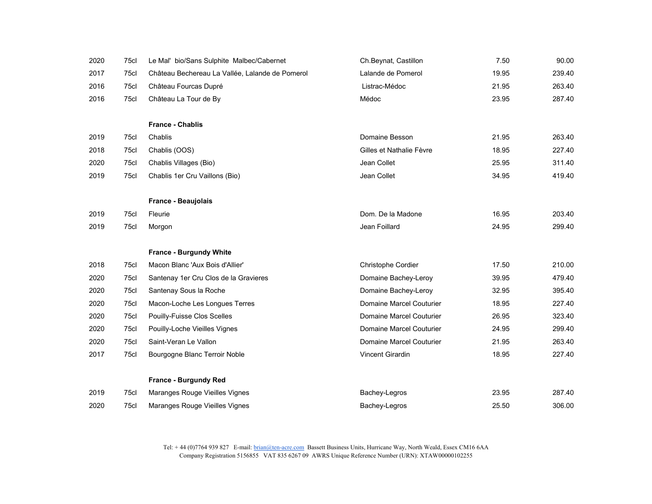| 2020 | 75cl | Le Mal' bio/Sans Sulphite Malbec/Cabernet       | Ch.Beynat, Castillon            | 7.50  | 90.00  |
|------|------|-------------------------------------------------|---------------------------------|-------|--------|
| 2017 | 75cl | Château Bechereau La Vallée, Lalande de Pomerol | Lalande de Pomerol              | 19.95 | 239.40 |
| 2016 | 75cl | Château Fourcas Dupré                           | Listrac-Médoc                   | 21.95 | 263.40 |
| 2016 | 75cl | Château La Tour de By                           | Médoc                           | 23.95 | 287.40 |
|      |      |                                                 |                                 |       |        |
|      |      | <b>France - Chablis</b>                         |                                 |       |        |
| 2019 | 75cl | Chablis                                         | Domaine Besson                  | 21.95 | 263.40 |
| 2018 | 75cl | Chablis (OOS)                                   | Gilles et Nathalie Fèvre        | 18.95 | 227.40 |
| 2020 | 75cl | Chablis Villages (Bio)                          | Jean Collet                     | 25.95 | 311.40 |
| 2019 | 75cl | Chablis 1er Cru Vaillons (Bio)                  | Jean Collet                     | 34.95 | 419.40 |
|      |      |                                                 |                                 |       |        |
|      |      | <b>France - Beaujolais</b>                      |                                 |       |        |
| 2019 | 75cl | Fleurie                                         | Dom. De la Madone               | 16.95 | 203.40 |
| 2019 | 75cl | Morgon                                          | Jean Foillard                   | 24.95 | 299.40 |
|      |      |                                                 |                                 |       |        |
|      |      | France - Burgundy White                         |                                 |       |        |
| 2018 | 75cl | Macon Blanc 'Aux Bois d'Allier'                 | Christophe Cordier              | 17.50 | 210.00 |
| 2020 | 75cl | Santenay 1er Cru Clos de la Gravieres           | Domaine Bachey-Leroy            | 39.95 | 479.40 |
| 2020 | 75cl | Santenay Sous la Roche                          | Domaine Bachey-Leroy            | 32.95 | 395.40 |
| 2020 | 75cl | Macon-Loche Les Longues Terres                  | <b>Domaine Marcel Couturier</b> | 18.95 | 227.40 |
| 2020 | 75cl | <b>Pouilly-Fuisse Clos Scelles</b>              | <b>Domaine Marcel Couturier</b> | 26.95 | 323.40 |
| 2020 | 75cl | Pouilly-Loche Vieilles Vignes                   | Domaine Marcel Couturier        | 24.95 | 299.40 |
| 2020 | 75cl | Saint-Veran Le Vallon                           | Domaine Marcel Couturier        | 21.95 | 263.40 |
| 2017 | 75cl | Bourgogne Blanc Terroir Noble                   | <b>Vincent Girardin</b>         | 18.95 | 227.40 |
|      |      |                                                 |                                 |       |        |
|      |      | France - Burgundy Red                           |                                 |       |        |
| 2019 | 75cl | Maranges Rouge Vieilles Vignes                  | Bachey-Legros                   | 23.95 | 287.40 |
| 2020 | 75cl | Maranges Rouge Vieilles Vignes                  | Bachey-Legros                   | 25.50 | 306.00 |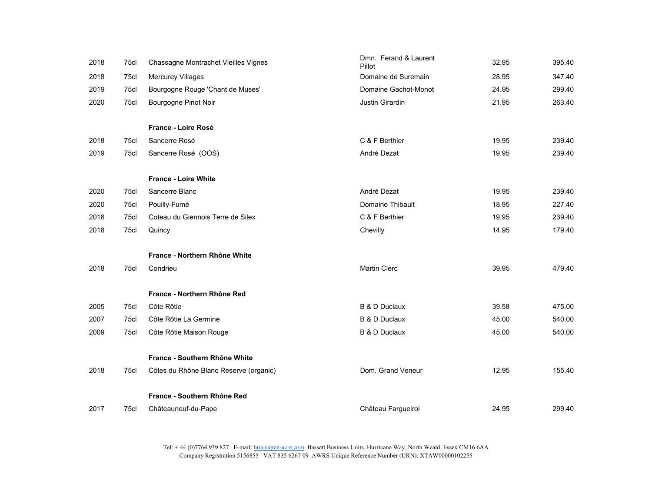| 2018 | 75cl | Chassagne Montrachet Vieilles Vignes   | Dmn. Ferand & Laurent<br>Pillot | 32.95 | 395.40 |
|------|------|----------------------------------------|---------------------------------|-------|--------|
| 2018 | 75cl | <b>Mercurey Villages</b>               | Domaine de Suremain             | 28.95 | 347.40 |
| 2019 | 75cl | Bourgogne Rouge 'Chant de Muses'       | Domaine Gachot-Monot            | 24.95 | 299.40 |
| 2020 | 75cl | Bourgogne Pinot Noir                   | Justin Girardin                 | 21.95 | 263.40 |
|      |      | France - Loire Rosé                    |                                 |       |        |
| 2018 | 75cl | Sancerre Rosé                          | C & F Berthier                  | 19.95 | 239.40 |
| 2019 | 75cl | Sancerre Rosé (OOS)                    | André Dezat                     | 19.95 | 239.40 |
|      |      | <b>France - Loire White</b>            |                                 |       |        |
| 2020 | 75cl | Sancerre Blanc                         | André Dezat                     | 19.95 | 239.40 |
| 2020 | 75cl | Pouilly-Fumé                           | Domaine Thibault                | 18.95 | 227.40 |
| 2018 | 75cl | Coteau du Giennois Terre de Silex      | C & F Berthier                  | 19.95 | 239.40 |
| 2018 | 75cl | Quincy                                 | Chevilly                        | 14.95 | 179.40 |
|      |      | France - Northern Rhône White          |                                 |       |        |
| 2018 | 75cl | Condrieu                               | <b>Martin Clerc</b>             | 39.95 | 479.40 |
|      |      | France - Northern Rhône Red            |                                 |       |        |
|      |      |                                        |                                 |       |        |
| 2005 | 75cl | Côte Rôtie                             | <b>B &amp; D Duclaux</b>        | 39.58 | 475.00 |
| 2007 | 75cl | Côte Rôtie La Germine                  | <b>B &amp; D Duclaux</b>        | 45.00 | 540.00 |
| 2009 | 75cl | Côte Rôtie Maison Rouge                | <b>B &amp; D Duclaux</b>        | 45.00 | 540.00 |
|      |      | France - Southern Rhône White          |                                 |       |        |
| 2018 | 75cl | Côtes du Rhône Blanc Reserve (organic) | Dom. Grand Veneur               | 12.95 | 155.40 |
|      |      | France - Southern Rhône Red            |                                 |       |        |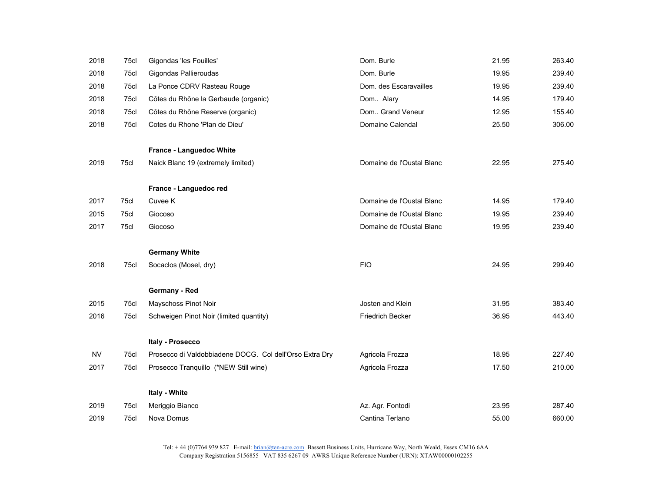| 2018      | 75cl | Gigondas 'les Fouilles'                                 | Dom. Burle                | 21.95 | 263.40 |
|-----------|------|---------------------------------------------------------|---------------------------|-------|--------|
| 2018      | 75cl | Gigondas Pallieroudas                                   | Dom. Burle                | 19.95 | 239.40 |
| 2018      | 75cl | La Ponce CDRV Rasteau Rouge                             | Dom. des Escaravailles    | 19.95 | 239.40 |
| 2018      | 75cl | Côtes du Rhône la Gerbaude (organic)                    | Dom Alary                 | 14.95 | 179.40 |
| 2018      | 75cl | Côtes du Rhône Reserve (organic)                        | Dom Grand Veneur          | 12.95 | 155.40 |
| 2018      | 75cl | Cotes du Rhone 'Plan de Dieu'                           | Domaine Calendal          | 25.50 | 306.00 |
|           |      | France - Languedoc White                                |                           |       |        |
| 2019      | 75cl | Naick Blanc 19 (extremely limited)                      | Domaine de l'Oustal Blanc | 22.95 | 275.40 |
|           |      | France - Languedoc red                                  |                           |       |        |
| 2017      | 75cl | Cuvee K                                                 | Domaine de l'Oustal Blanc | 14.95 | 179.40 |
| 2015      | 75cl | Giocoso                                                 | Domaine de l'Oustal Blanc | 19.95 | 239.40 |
| 2017      | 75cl | Giocoso                                                 | Domaine de l'Oustal Blanc | 19.95 | 239.40 |
|           |      | <b>Germany White</b>                                    |                           |       |        |
| 2018      | 75cl | Socaclos (Mosel, dry)                                   | <b>FIO</b>                | 24.95 | 299.40 |
|           |      | Germany - Red                                           |                           |       |        |
| 2015      | 75cl | Mayschoss Pinot Noir                                    | Josten and Klein          | 31.95 | 383.40 |
| 2016      | 75cl | Schweigen Pinot Noir (limited quantity)                 | Friedrich Becker          | 36.95 | 443.40 |
|           |      | Italy - Prosecco                                        |                           |       |        |
| <b>NV</b> | 75cl | Prosecco di Valdobbiadene DOCG. Col dell'Orso Extra Dry | Agricola Frozza           | 18.95 | 227.40 |
| 2017      | 75cl | Prosecco Tranquillo (*NEW Still wine)                   | Agricola Frozza           | 17.50 | 210.00 |
|           |      | Italy - White                                           |                           |       |        |
| 2019      | 75cl | Meriggio Bianco                                         | Az. Agr. Fontodi          | 23.95 | 287.40 |
| 2019      | 75cl | Nova Domus                                              | Cantina Terlano           | 55.00 | 660.00 |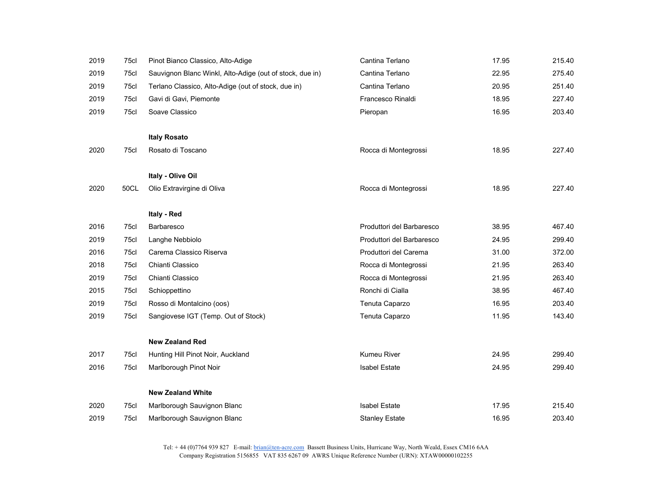| 2019 | 75cl         | Pinot Bianco Classico, Alto-Adige                        | Cantina Terlano           | 17.95          | 215.40           |
|------|--------------|----------------------------------------------------------|---------------------------|----------------|------------------|
| 2019 | 75cl         | Sauvignon Blanc Winkl, Alto-Adige (out of stock, due in) | Cantina Terlano           | 22.95          | 275.40           |
| 2019 | 75cl         | Terlano Classico, Alto-Adige (out of stock, due in)      | Cantina Terlano           | 20.95          | 251.40           |
| 2019 | 75cl         | Gavi di Gavi, Piemonte                                   | Francesco Rinaldi         | 18.95          | 227.40           |
| 2019 | 75cl         | Soave Classico                                           | Pieropan                  | 16.95          | 203.40           |
|      |              | <b>Italy Rosato</b>                                      |                           |                |                  |
| 2020 | 75cl         | Rosato di Toscano                                        | Rocca di Montegrossi      | 18.95          | 227.40           |
|      |              |                                                          |                           |                |                  |
|      |              | Italy - Olive Oil                                        |                           |                |                  |
| 2020 | 50CL         | Olio Extravirgine di Oliva                               | Rocca di Montegrossi      | 18.95          | 227.40           |
|      |              | Italy - Red                                              |                           |                |                  |
| 2016 | 75cl         | <b>Barbaresco</b>                                        | Produttori del Barbaresco | 38.95          | 467.40           |
| 2019 | 75cl         | Langhe Nebbiolo                                          | Produttori del Barbaresco | 24.95          | 299.40           |
|      |              | Carema Classico Riserva                                  |                           |                |                  |
| 2016 | 75cl<br>75cl | Chianti Classico                                         | Produttori del Carema     | 31.00<br>21.95 | 372.00<br>263.40 |
| 2018 |              |                                                          | Rocca di Montegrossi      |                |                  |
| 2019 | 75cl         | Chianti Classico                                         | Rocca di Montegrossi      | 21.95          | 263.40           |
| 2015 | 75cl         | Schioppettino                                            | Ronchi di Cialla          | 38.95          | 467.40           |
| 2019 | 75cl         | Rosso di Montalcino (oos)                                | Tenuta Caparzo            | 16.95          | 203.40           |
| 2019 | 75cl         | Sangiovese IGT (Temp. Out of Stock)                      | Tenuta Caparzo            | 11.95          | 143.40           |
|      |              | <b>New Zealand Red</b>                                   |                           |                |                  |
| 2017 | 75cl         | Hunting Hill Pinot Noir, Auckland                        | Kumeu River               | 24.95          | 299.40           |
| 2016 | 75cl         | Marlborough Pinot Noir                                   | <b>Isabel Estate</b>      | 24.95          | 299.40           |
|      |              | <b>New Zealand White</b>                                 |                           |                |                  |
| 2020 | 75cl         | Marlborough Sauvignon Blanc                              | <b>Isabel Estate</b>      | 17.95          | 215.40           |
| 2019 | 75cl         | Marlborough Sauvignon Blanc                              | <b>Stanley Estate</b>     | 16.95          | 203.40           |
|      |              |                                                          |                           |                |                  |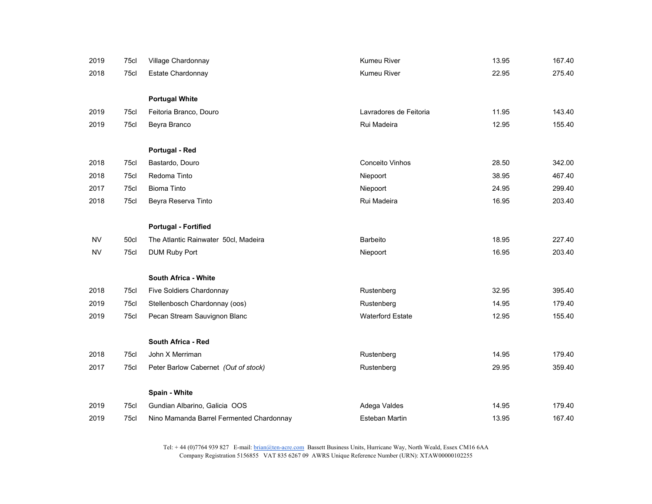| 2019      | 75cl | Village Chardonnay                       | <b>Kumeu River</b>      | 13.95 | 167.40 |
|-----------|------|------------------------------------------|-------------------------|-------|--------|
| 2018      | 75cl | Estate Chardonnay                        | <b>Kumeu River</b>      | 22.95 | 275.40 |
|           |      |                                          |                         |       |        |
|           |      | <b>Portugal White</b>                    |                         |       |        |
| 2019      | 75cl | Feitoria Branco, Douro                   | Lavradores de Feitoria  | 11.95 | 143.40 |
| 2019      | 75cl | Beyra Branco                             | Rui Madeira             | 12.95 | 155.40 |
|           |      | Portugal - Red                           |                         |       |        |
| 2018      | 75cl | Bastardo, Douro                          | Conceito Vinhos         | 28.50 | 342.00 |
| 2018      | 75cl | Redoma Tinto                             | Niepoort                | 38.95 | 467.40 |
| 2017      | 75cl | <b>Bioma Tinto</b>                       | Niepoort                | 24.95 | 299.40 |
| 2018      | 75cl | Beyra Reserva Tinto                      | Rui Madeira             | 16.95 | 203.40 |
|           |      | <b>Portugal - Fortified</b>              |                         |       |        |
| <b>NV</b> | 50cl | The Atlantic Rainwater 50cl, Madeira     | Barbeito                | 18.95 | 227.40 |
| <b>NV</b> | 75cl | <b>DUM Ruby Port</b>                     | Niepoort                | 16.95 | 203.40 |
|           |      | <b>South Africa - White</b>              |                         |       |        |
| 2018      | 75cl | Five Soldiers Chardonnay                 | Rustenberg              | 32.95 | 395.40 |
| 2019      | 75cl | Stellenbosch Chardonnay (oos)            | Rustenberg              | 14.95 | 179.40 |
| 2019      | 75cl | Pecan Stream Sauvignon Blanc             | <b>Waterford Estate</b> | 12.95 | 155.40 |
|           |      | South Africa - Red                       |                         |       |        |
| 2018      | 75cl | John X Merriman                          | Rustenberg              | 14.95 | 179.40 |
| 2017      | 75cl | Peter Barlow Cabernet (Out of stock)     | Rustenberg              | 29.95 | 359.40 |
|           |      | Spain - White                            |                         |       |        |
| 2019      | 75cl | Gundian Albarino, Galicia OOS            | Adega Valdes            | 14.95 | 179.40 |
| 2019      | 75cl | Nino Mamanda Barrel Fermented Chardonnay | Esteban Martin          | 13.95 | 167.40 |